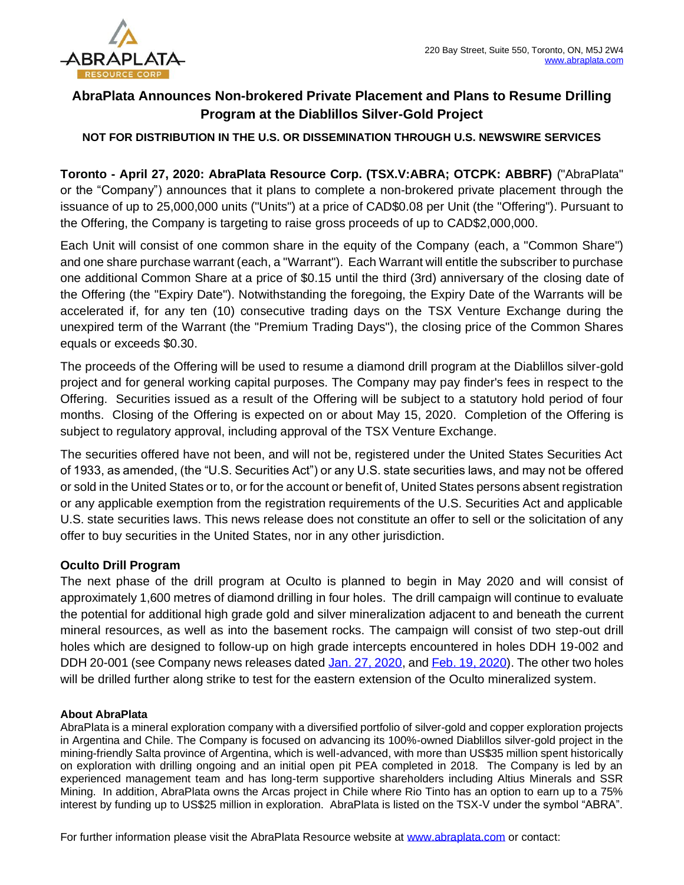

# **AbraPlata Announces Non-brokered Private Placement and Plans to Resume Drilling Program at the Diablillos Silver-Gold Project**

### **NOT FOR DISTRIBUTION IN THE U.S. OR DISSEMINATION THROUGH U.S. NEWSWIRE SERVICES**

**Toronto - April 27, 2020: AbraPlata Resource Corp. (TSX.V:ABRA; OTCPK: ABBRF)** ("AbraPlata" or the "Company") announces that it plans to complete a non-brokered private placement through the issuance of up to 25,000,000 units ("Units") at a price of CAD\$0.08 per Unit (the "Offering"). Pursuant to the Offering, the Company is targeting to raise gross proceeds of up to CAD\$2,000,000.

Each Unit will consist of one common share in the equity of the Company (each, a "Common Share") and one share purchase warrant (each, a "Warrant"). Each Warrant will entitle the subscriber to purchase one additional Common Share at a price of \$0.15 until the third (3rd) anniversary of the closing date of the Offering (the "Expiry Date"). Notwithstanding the foregoing, the Expiry Date of the Warrants will be accelerated if, for any ten (10) consecutive trading days on the TSX Venture Exchange during the unexpired term of the Warrant (the "Premium Trading Days"), the closing price of the Common Shares equals or exceeds \$0.30.

The proceeds of the Offering will be used to resume a diamond drill program at the Diablillos silver-gold project and for general working capital purposes. The Company may pay finder's fees in respect to the Offering. Securities issued as a result of the Offering will be subject to a statutory hold period of four months. Closing of the Offering is expected on or about May 15, 2020. Completion of the Offering is subject to regulatory approval, including approval of the TSX Venture Exchange.

The securities offered have not been, and will not be, registered under the United States Securities Act of 1933, as amended, (the "U.S. Securities Act") or any U.S. state securities laws, and may not be offered or sold in the United States or to, or for the account or benefit of, United States persons absent registration or any applicable exemption from the registration requirements of the U.S. Securities Act and applicable U.S. state securities laws. This news release does not constitute an offer to sell or the solicitation of any offer to buy securities in the United States, nor in any other jurisdiction.

## **Oculto Drill Program**

The next phase of the drill program at Oculto is planned to begin in May 2020 and will consist of approximately 1,600 metres of diamond drilling in four holes. The drill campaign will continue to evaluate the potential for additional high grade gold and silver mineralization adjacent to and beneath the current mineral resources, as well as into the basement rocks. The campaign will consist of two step-out drill holes which are designed to follow-up on high grade intercepts encountered in holes DDH 19-002 and DDH 20-001 (see Company news releases dated [Jan. 27, 2020,](https://www.abraplata.com/news-releases/abraplata-intersects-175-metres-of-604-gt-silver-and-70-metres-of-206-gt-gold-with-202-gt-silver-at-diablillos-project) and [Feb. 19, 2020\)](https://www.abraplata.com/news-releases/abraplata-intercepts-14-metres-of-640-gt-gold--197-gt-silver-and-identifies-high-grade-copper-zone-with-intercept-of-15-metres-of-51-copper-235-gt-gold--658-gt-silver). The other two holes will be drilled further along strike to test for the eastern extension of the Oculto mineralized system.

#### **About AbraPlata**

AbraPlata is a mineral exploration company with a diversified portfolio of silver-gold and copper exploration projects in Argentina and Chile. The Company is focused on advancing its 100%-owned Diablillos silver-gold project in the mining-friendly Salta province of Argentina, which is well-advanced, with more than US\$35 million spent historically on exploration with drilling ongoing and an initial open pit PEA completed in 2018. The Company is led by an experienced management team and has long-term supportive shareholders including Altius Minerals and SSR Mining. In addition, AbraPlata owns the Arcas project in Chile where Rio Tinto has an option to earn up to a 75% interest by funding up to US\$25 million in exploration. AbraPlata is listed on the TSX-V under the symbol "ABRA".

For further information please visit the AbraPlata Resource website at [www.abraplata.com](about:blank) or contact: